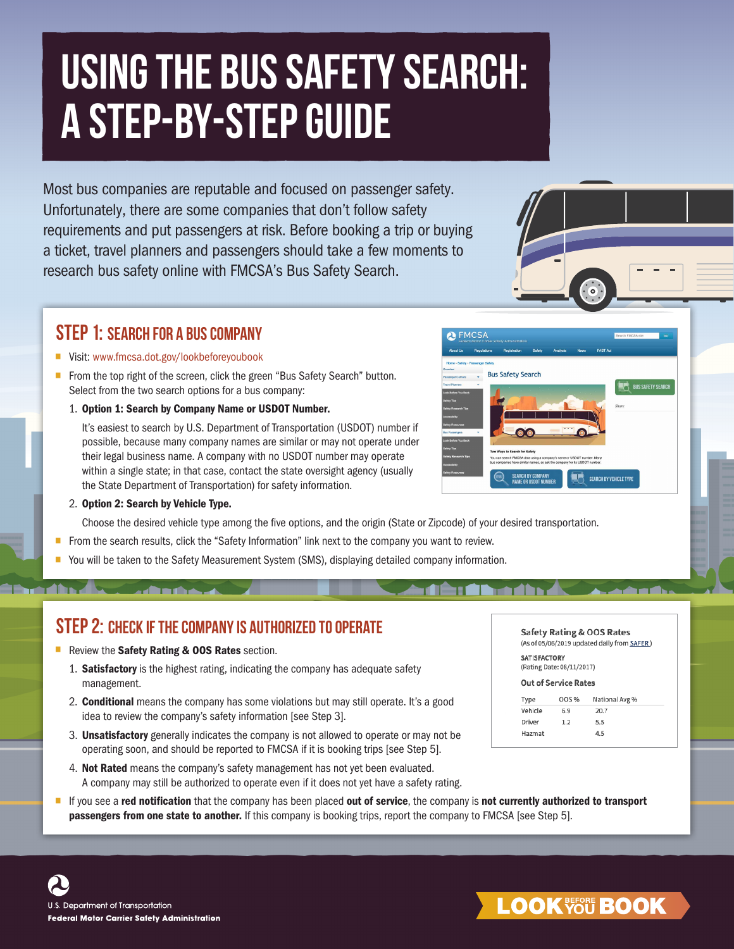# Using the Bus Safety Search: A Step-By-Step Guide

Most bus companies are reputable and focused on passenger safety. Unfortunately, there are some companies that don't follow safety requirements and put passengers at risk. Before booking a trip or buying a ticket, travel planners and passengers should take a few moments to research bus safety online with FMCSA's Bus Safety Search.

#### Step 1: Search for a bus company

# • ■ Visit: [www.fmcsa.dot.gov/lookbeforeyoubook](https://www.fmcsa.dot.gov/lookbeforeyoubook)

- From the top right of the screen, click the green "Bus Safety Search" button. Select from the two search options for a bus company:
	- 1. Option 1: Search by Company Name or USDOT Number.

It's easiest to search by U.S. Department of Transportation (USDOT) number if possible, because many company names are similar or may not operate under their legal business name. A company with no USDOT number may operate within a single state; in that case, contact the state oversight agency (usually the State Department of Transportation) for safety information.



Choose the desired vehicle type among the five options, and the origin (State or Zipcode) of your desired transportation.

- From the search results, click the "Safety Information" link next to the company you want to review.
- You will be taken to the Safety Measurement System (SMS), displaying detailed company information. •

#### STEP 2: CHECK IF THE COMPANY IS AUTHORIZED TO OPERATE

- 
- Review the Safety Rating & OOS Rates section.<br>
1. Satisfactory is the highest rating, indicating the company has adequate safety management.
	- 2. **Conditional** means the company has some violations but may still operate. It's a good idea to review the company's safety information [see Step 3].
	- 3. Unsatisfactory generally indicates the company is not allowed to operate or may not be operating soon, and should be reported to FMCSA if it is booking trips [see Step 5].
	- 4. Not Rated means the company's safety management has not yet been evaluated. A company may still be authorized to operate even if it does not yet have a safety rating.
- If you see a red notification that the company has been placed out of service, the company is not currently authorized to transport passengers from one state to another. If this company is booking trips, report the company to FMCSA [see Step 5].

Safety Rating & OOS Rates (As of 05/06/2019 updated daily from SAFER) **SATISFACTORY** (Rating Date: 08/11/2017) **Out of Service Rates** 

| Type    | <b>OOS %</b> | National Avg % |  |
|---------|--------------|----------------|--|
| Vehicle | 6.9          | 20.7           |  |
| Driver  | 1.2          | 5.5            |  |
| Hazmat  |              | 4.5            |  |